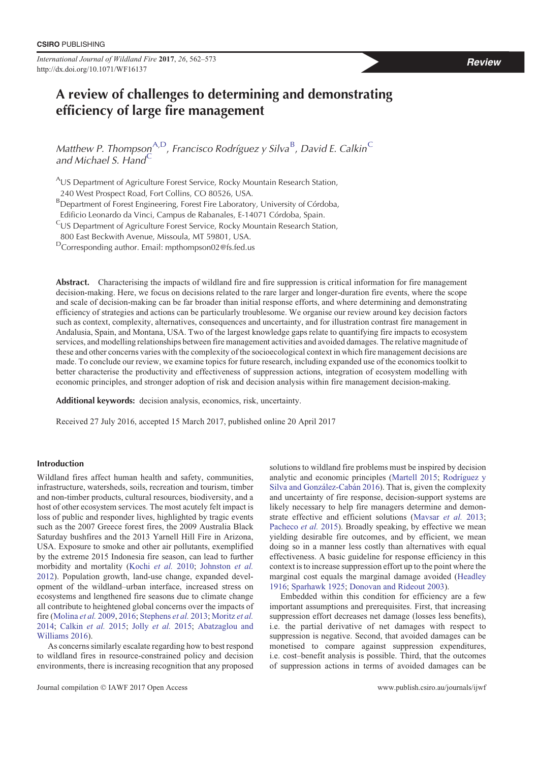*International Journal of Wildland Fire* **2017**, *26*, 562–573 http://dx.doi.org/10.1071/WF16137

# A review of challenges to determining and demonstrating efficiency of large fire management

Matthew P. Thompson $^{\mathsf{A},\mathsf{D}}$ , Francisco Rodríguez y Silva $^{\mathsf{B}}$ , David E. Calkin $^{\mathsf{C}}$ and Michael S. Hand $^C$ 

<sup>A</sup>US Department of Agriculture Forest Service, Rocky Mountain Research Station, 240 West Prospect Road, Fort Collins, CO 80526, USA.

BDepartment of Forest Engineering, Forest Fire Laboratory, University of Córdoba,

Edificio Leonardo da Vinci, Campus de Rabanales, E-14071 Córdoba, Spain.

<sup>C</sup>US Department of Agriculture Forest Service, Rocky Mountain Research Station,

800 East Beckwith Avenue, Missoula, MT 59801, USA.

DCorresponding author. Email: mpthompson02@fs.fed.us

Abstract. Characterising the impacts of wildland fire and fire suppression is critical information for fire management decision-making. Here, we focus on decisions related to the rare larger and longer-duration fire events, where the scope and scale of decision-making can be far broader than initial response efforts, and where determining and demonstrating efficiency of strategies and actions can be particularly troublesome. We organise our review around key decision factors such as context, complexity, alternatives, consequences and uncertainty, and for illustration contrast fire management in Andalusia, Spain, and Montana, USA. Two of the largest knowledge gaps relate to quantifying fire impacts to ecosystem services, and modelling relationships between fire management activities and avoided damages. The relative magnitude of these and other concerns varies with the complexity of the socioecological context in which fire management decisions are made. To conclude our review, we examine topics for future research, including expanded use of the economics toolkit to better characterise the productivity and effectiveness of suppression actions, integration of ecosystem modelling with economic principles, and stronger adoption of risk and decision analysis within fire management decision-making.

Additional keywords: decision analysis, economics, risk, uncertainty.

Received 27 July 2016, accepted 15 March 2017, published online 20 April 2017

# Introduction

Wildland fires affect human health and safety, communities, infrastructure, watersheds, soils, recreation and tourism, timber and non-timber products, cultural resources, biodiversity, and a host of other ecosystem services. The most acutely felt impact is loss of public and responder lives, highlighted by tragic events such as the 2007 Greece forest fires, the 2009 Australia Black Saturday bushfires and the 2013 Yarnell Hill Fire in Arizona, USA. Exposure to smoke and other air pollutants, exemplified by the extreme 2015 Indonesia fire season, can lead to further morbidity and mortality ([Kochi](#page-9-0) *et al.* 2010; [Johnston](#page-8-0) *et al.* [2012\)](#page-8-0). Population growth, land-use change, expanded development of the wildland–urban interface, increased stress on ecosystems and lengthened fire seasons due to climate change all contribute to heightened global concerns over the impacts of fire ([Molina](#page-9-0) *et al.* 2009, [2016](#page-9-0); [Stephens](#page-10-0) *et al.* 2013; [Moritz](#page-9-0) *et al.* [2014;](#page-9-0) [Calkin](#page-7-0) *et al.* 2015; Jolly *[et al.](#page-8-0)* 2015; [Abatzaglou and](#page-7-0) [Williams 2016](#page-7-0)).

As concerns similarly escalate regarding how to best respond to wildland fires in resource-constrained policy and decision environments, there is increasing recognition that any proposed

solutions to wildland fire problems must be inspired by decision analytic and economic principles ([Martell 2015](#page-9-0); Rodríguez y Silva and González-Cabán 2016). That is, given the complexity and uncertainty of fire response, decision-support systems are likely necessary to help fire managers determine and demonstrate effective and efficient solutions ([Mavsar](#page-9-0) *et al.* 2013; [Pacheco](#page-9-0) *et al.* 2015). Broadly speaking, by effective we mean yielding desirable fire outcomes, and by efficient, we mean doing so in a manner less costly than alternatives with equal effectiveness. A basic guideline for response efficiency in this context is to increase suppression effort up to the point where the marginal cost equals the marginal damage avoided [\(Headley](#page-8-0) [1916;](#page-8-0) [Sparhawk 1925](#page-10-0); [Donovan and Rideout 2003](#page-8-0)).

Embedded within this condition for efficiency are a few important assumptions and prerequisites. First, that increasing suppression effort decreases net damage (losses less benefits), i.e. the partial derivative of net damages with respect to suppression is negative. Second, that avoided damages can be monetised to compare against suppression expenditures, i.e. cost–benefit analysis is possible. Third, that the outcomes of suppression actions in terms of avoided damages can be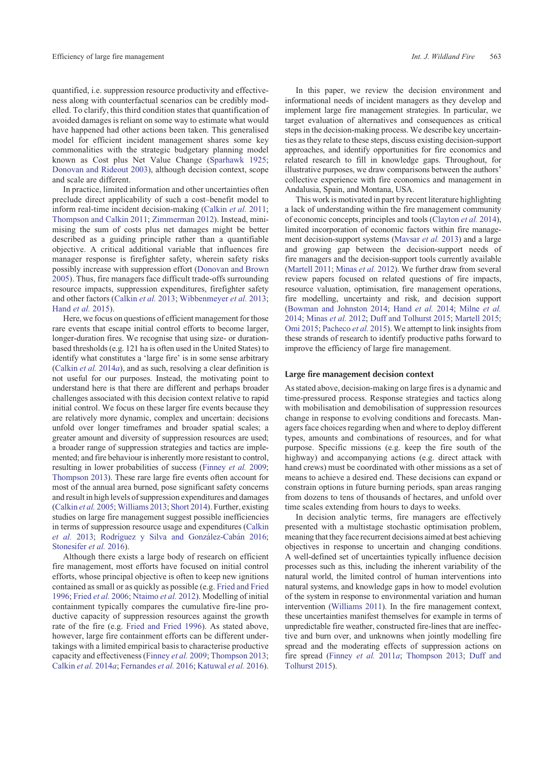quantified, i.e. suppression resource productivity and effectiveness along with counterfactual scenarios can be credibly modelled. To clarify, this third condition states that quantification of avoided damages is reliant on some way to estimate what would have happened had other actions been taken. This generalised model for efficient incident management shares some key commonalities with the strategic budgetary planning model known as Cost plus Net Value Change ([Sparhawk 1925](#page-10-0); [Donovan and Rideout 2003\)](#page-8-0), although decision context, scope and scale are different.

In practice, limited information and other uncertainties often preclude direct applicability of such a cost–benefit model to inform real-time incident decision-making [\(Calkin](#page-7-0) *et al.* 2011; [Thompson and Calkin 2011](#page-10-0); [Zimmerman 2012](#page-11-0)). Instead, minimising the sum of costs plus net damages might be better described as a guiding principle rather than a quantifiable objective. A critical additional variable that influences fire manager response is firefighter safety, wherein safety risks possibly increase with suppression effort [\(Donovan and Brown](#page-8-0) [2005\)](#page-8-0). Thus, fire managers face difficult trade-offs surrounding resource impacts, suppression expenditures, firefighter safety and other factors [\(Calkin](#page-7-0) *et al.* 2013; [Wibbenmeyer](#page-11-0) *et al.* 2013; [Hand](#page-8-0) *et al.* 2015).

Here, we focus on questions of efficient management for those rare events that escape initial control efforts to become larger, longer-duration fires. We recognise that using size- or durationbased thresholds (e.g. 121 ha is often used in the United States) to identify what constitutes a 'large fire' is in some sense arbitrary ([Calkin](#page-7-0) *et al.* 2014*a*), and as such, resolving a clear definition is not useful for our purposes. Instead, the motivating point to understand here is that there are different and perhaps broader challenges associated with this decision context relative to rapid initial control. We focus on these larger fire events because they are relatively more dynamic, complex and uncertain: decisions unfold over longer timeframes and broader spatial scales; a greater amount and diversity of suppression resources are used; a broader range of suppression strategies and tactics are implemented; and fire behaviour is inherently more resistant to control, resulting in lower probabilities of success ([Finney](#page-8-0) *et al.* 2009; [Thompson 2013\)](#page-10-0). These rare large fire events often account for most of the annual area burned, pose significant safety concerns and result in high levels of suppression expenditures and damages ([Calkin](#page-7-0) *et al.* 2005; [Williams 2013](#page-11-0); [Short 2014](#page-10-0)). Further, existing studies on large fire management suggest possible inefficiencies in terms of suppression resource usage and expenditures [\(Calkin](#page-7-0) [et al.](#page-7-0) 2013; Rodríguez y Silva and González-Cabán 2016; [Stonesifer](#page-10-0) *et al.* 2016).

Although there exists a large body of research on efficient fire management, most efforts have focused on initial control efforts, whose principal objective is often to keep new ignitions contained as small or as quickly as possible (e.g. [Fried and Fried](#page-8-0) [1996;](#page-8-0) [Fried](#page-8-0) *et al.* 2006; [Ntaimo](#page-9-0) *et al.* 2012). Modelling of initial containment typically compares the cumulative fire-line productive capacity of suppression resources against the growth rate of the fire (e.g. [Fried and Fried 1996\)](#page-8-0). As stated above, however, large fire containment efforts can be different undertakings with a limited empirical basis to characterise productive capacity and effectiveness [\(Finney](#page-8-0) *et al.* 2009; [Thompson 2013](#page-10-0); [Calkin](#page-7-0) *et al.* 2014*a*; [Fernandes](#page-8-0) *et al.* 2016; [Katuwal](#page-9-0) *et al.* 2016).

In this paper, we review the decision environment and informational needs of incident managers as they develop and implement large fire management strategies. In particular, we target evaluation of alternatives and consequences as critical steps in the decision-making process. We describe key uncertainties as they relate to these steps, discuss existing decision-support approaches, and identify opportunities for fire economics and related research to fill in knowledge gaps. Throughout, for illustrative purposes, we draw comparisons between the authors' collective experience with fire economics and management in Andalusia, Spain, and Montana, USA.

This work is motivated in part by recent literature highlighting a lack of understanding within the fire management community of economic concepts, principles and tools ([Clayton](#page-8-0) *et al.* 2014), limited incorporation of economic factors within fire management decision-support systems ([Mavsar](#page-9-0) *et al.* 2013) and a large and growing gap between the decision-support needs of fire managers and the decision-support tools currently available ([Martell 2011](#page-9-0); [Minas](#page-9-0) *et al.* 2012). We further draw from several review papers focused on related questions of fire impacts, resource valuation, optimisation, fire management operations, fire modelling, uncertainty and risk, and decision support ([Bowman and Johnston 2014](#page-7-0); Hand *[et al.](#page-8-0)* 2014; [Milne](#page-9-0) *et al.* [2014](#page-9-0); [Minas](#page-9-0) *et al.* 2012; [Duff and Tolhurst 2015;](#page-8-0) [Martell 2015](#page-9-0); [Omi 2015;](#page-9-0) [Pacheco](#page-9-0) *et al.* 2015). We attempt to link insights from these strands of research to identify productive paths forward to improve the efficiency of large fire management.

## Large fire management decision context

As stated above, decision-making on large fires is a dynamic and time-pressured process. Response strategies and tactics along with mobilisation and demobilisation of suppression resources change in response to evolving conditions and forecasts. Managers face choices regarding when and where to deploy different types, amounts and combinations of resources, and for what purpose. Specific missions (e.g. keep the fire south of the highway) and accompanying actions (e.g. direct attack with hand crews) must be coordinated with other missions as a set of means to achieve a desired end. These decisions can expand or constrain options in future burning periods, span areas ranging from dozens to tens of thousands of hectares, and unfold over time scales extending from hours to days to weeks.

In decision analytic terms, fire managers are effectively presented with a multistage stochastic optimisation problem, meaning that they face recurrent decisions aimed at best achieving objectives in response to uncertain and changing conditions. A well-defined set of uncertainties typically influence decision processes such as this, including the inherent variability of the natural world, the limited control of human interventions into natural systems, and knowledge gaps in how to model evolution of the system in response to environmental variation and human intervention [\(Williams 2011](#page-11-0)). In the fire management context, these uncertainties manifest themselves for example in terms of unpredictable fire weather, constructed fire-lines that are ineffective and burn over, and unknowns when jointly modelling fire spread and the moderating effects of suppression actions on fire spread ([Finney](#page-8-0) *et al.* 2011*a*; [Thompson 2013;](#page-10-0) [Duff and](#page-8-0) [Tolhurst 2015](#page-8-0)).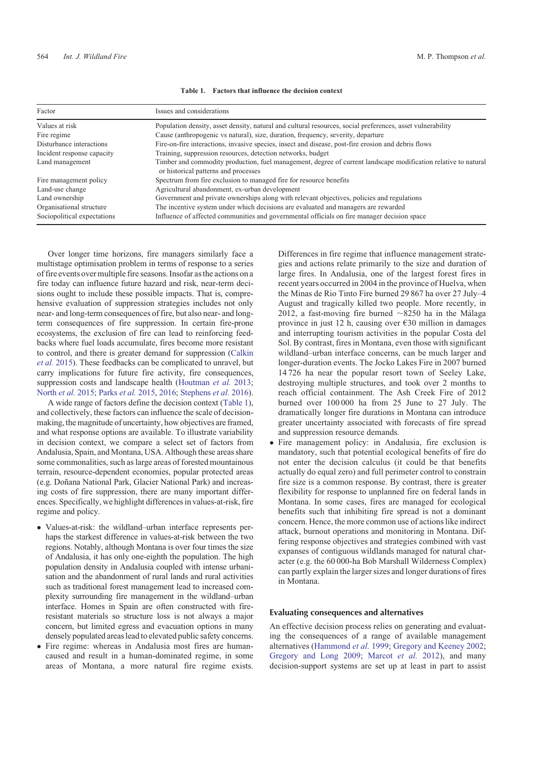#### **Table 1. Factors that influence the decision context**

| Factor                      | Issues and considerations                                                                                                                              |  |
|-----------------------------|--------------------------------------------------------------------------------------------------------------------------------------------------------|--|
| Values at risk              | Population density, asset density, natural and cultural resources, social preferences, asset vulnerability                                             |  |
| Fire regime                 | Cause (anthropogenic vs natural), size, duration, frequency, severity, departure                                                                       |  |
| Disturbance interactions    | Fire-on-fire interactions, invasive species, insect and disease, post-fire erosion and debris flows                                                    |  |
| Incident response capacity  | Training, suppression resources, detection networks, budget                                                                                            |  |
| Land management             | Timber and commodity production, fuel management, degree of current landscape modification relative to natural<br>or historical patterns and processes |  |
| Fire management policy      | Spectrum from fire exclusion to managed fire for resource benefits                                                                                     |  |
| Land-use change             | Agricultural abandonment, ex-urban development                                                                                                         |  |
| Land ownership              | Government and private ownerships along with relevant objectives, policies and regulations                                                             |  |
| Organisational structure    | The incentive system under which decisions are evaluated and managers are rewarded                                                                     |  |
| Sociopolitical expectations | Influence of affected communities and governmental officials on fire manager decision space                                                            |  |

Over longer time horizons, fire managers similarly face a multistage optimisation problem in terms of response to a series of fire events over multiple fire seasons. Insofar as the actions on a fire today can influence future hazard and risk, near-term decisions ought to include these possible impacts. That is, comprehensive evaluation of suppression strategies includes not only near- and long-term consequences of fire, but also near- and longterm consequences of fire suppression. In certain fire-prone ecosystems, the exclusion of fire can lead to reinforcing feedbacks where fuel loads accumulate, fires become more resistant to control, and there is greater demand for suppression [\(Calkin](#page-7-0) *[et al.](#page-7-0)* 2015). These feedbacks can be complicated to unravel, but carry implications for future fire activity, fire consequences, suppression costs and landscape health [\(Houtman](#page-8-0) *et al.* 2013; [North](#page-9-0) *et al.* 2015; [Parks](#page-9-0) *et al.* 2015, [2016](#page-9-0); [Stephens](#page-10-0) *et al.* 2016).

A wide range of factors define the decision context (Table 1), and collectively, these factors can influence the scale of decisionmaking, the magnitude of uncertainty, how objectives are framed, and what response options are available. To illustrate variability in decision context, we compare a select set of factors from Andalusia, Spain, and Montana, USA. Although these areas share some commonalities, such as large areas of forested mountainous terrain, resource-dependent economies, popular protected areas (e.g. Doñana National Park, Glacier National Park) and increasing costs of fire suppression, there are many important differences. Specifically, we highlight differences in values-at-risk, fire regime and policy.

- Values-at-risk: the wildland–urban interface represents perhaps the starkest difference in values-at-risk between the two regions. Notably, although Montana is over four times the size of Andalusia, it has only one-eighth the population. The high population density in Andalusia coupled with intense urbanisation and the abandonment of rural lands and rural activities such as traditional forest management lead to increased complexity surrounding fire management in the wildland–urban interface. Homes in Spain are often constructed with fireresistant materials so structure loss is not always a major concern, but limited egress and evacuation options in many densely populated areas lead to elevated public safety concerns.
- Fire regime: whereas in Andalusia most fires are humancaused and result in a human-dominated regime, in some areas of Montana, a more natural fire regime exists.

Differences in fire regime that influence management strategies and actions relate primarily to the size and duration of large fires. In Andalusia, one of the largest forest fires in recent years occurred in 2004 in the province of Huelva, when the Minas de Rio Tinto Fire burned 29 867 ha over 27 July–4 August and tragically killed two people. More recently, in 2012, a fast-moving fire burned  $\sim 8250$  ha in the Málaga province in just 12 h, causing over  $\epsilon$ 30 million in damages and interrupting tourism activities in the popular Costa del Sol. By contrast, fires in Montana, even those with significant wildland–urban interface concerns, can be much larger and longer-duration events. The Jocko Lakes Fire in 2007 burned 14 726 ha near the popular resort town of Seeley Lake, destroying multiple structures, and took over 2 months to reach official containment. The Ash Creek Fire of 2012 burned over 100 000 ha from 25 June to 27 July. The dramatically longer fire durations in Montana can introduce greater uncertainty associated with forecasts of fire spread and suppression resource demands.

• Fire management policy: in Andalusia, fire exclusion is mandatory, such that potential ecological benefits of fire do not enter the decision calculus (it could be that benefits actually do equal zero) and full perimeter control to constrain fire size is a common response. By contrast, there is greater flexibility for response to unplanned fire on federal lands in Montana. In some cases, fires are managed for ecological benefits such that inhibiting fire spread is not a dominant concern. Hence, the more common use of actions like indirect attack, burnout operations and monitoring in Montana. Differing response objectives and strategies combined with vast expanses of contiguous wildlands managed for natural character (e.g. the 60 000-ha Bob Marshall Wilderness Complex) can partly explain the larger sizes and longer durations of fires in Montana.

## Evaluating consequences and alternatives

An effective decision process relies on generating and evaluating the consequences of a range of available management alternatives [\(Hammond](#page-8-0) *et al.* 1999; [Gregory and Keeney 2002](#page-8-0); [Gregory and Long 2009](#page-8-0); [Marcot](#page-9-0) *et al.* 2012), and many decision-support systems are set up at least in part to assist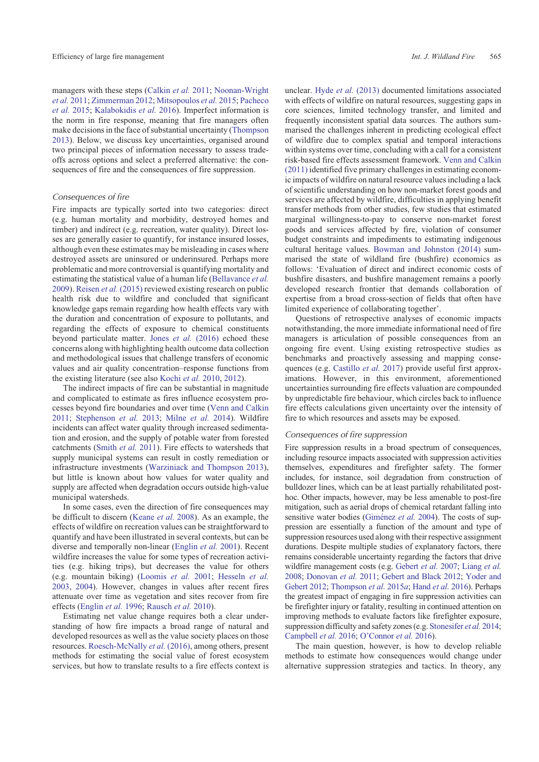managers with these steps ([Calkin](#page-7-0) *et al.* 2011; [Noonan-Wright](#page-9-0) *et al.* [2011;](#page-9-0) [Zimmerman 2012;](#page-11-0) [Mitsopoulos](#page-9-0) *et al.* 2015; [Pacheco](#page-9-0) *[et al.](#page-9-0)* 2015; [Kalabokidis](#page-9-0) *et al.* 2016). Imperfect information is the norm in fire response, meaning that fire managers often make decisions in the face of substantial uncertainty [\(Thompson](#page-10-0) [2013\)](#page-10-0). Below, we discuss key uncertainties, organised around two principal pieces of information necessary to assess tradeoffs across options and select a preferred alternative: the consequences of fire and the consequences of fire suppression.

# Consequences of fire

Fire impacts are typically sorted into two categories: direct (e.g. human mortality and morbidity, destroyed homes and timber) and indirect (e.g. recreation, water quality). Direct losses are generally easier to quantify, for instance insured losses, although even these estimates may be misleading in cases where destroyed assets are uninsured or underinsured. Perhaps more problematic and more controversial is quantifying mortality and estimating the statistical value of a human life [\(Bellavance](#page-7-0) *et al.* [2009\)](#page-7-0). [Reisen](#page-10-0) *et al.* (2015) reviewed existing research on public health risk due to wildfire and concluded that significant knowledge gaps remain regarding how health effects vary with the duration and concentration of exposure to pollutants, and regarding the effects of exposure to chemical constituents beyond particulate matter. Jones *et al.* [\(2016\)](#page-9-0) echoed these concerns along with highlighting health outcome data collection and methodological issues that challenge transfers of economic values and air quality concentration–response functions from the existing literature (see also [Kochi](#page-9-0) *et al.* 2010, [2012\)](#page-9-0).

The indirect impacts of fire can be substantial in magnitude and complicated to estimate as fires influence ecosystem processes beyond fire boundaries and over time [\(Venn and Calkin](#page-10-0) [2011;](#page-10-0) [Stephenson](#page-10-0) *et al.* 2013; [Milne](#page-9-0) *et al.* 2014). Wildfire incidents can affect water quality through increased sedimentation and erosion, and the supply of potable water from forested catchments [\(Smith](#page-10-0) *et al.* 2011). Fire effects to watersheds that supply municipal systems can result in costly remediation or infrastructure investments [\(Warziniack and Thompson 2013](#page-10-0)), but little is known about how values for water quality and supply are affected when degradation occurs outside high-value municipal watersheds.

In some cases, even the direction of fire consequences may be difficult to discern [\(Keane](#page-9-0) *et al.* 2008). As an example, the effects of wildfire on recreation values can be straightforward to quantify and have been illustrated in several contexts, but can be diverse and temporally non-linear [\(Englin](#page-8-0) *et al.* 2001). Recent wildfire increases the value for some types of recreation activities (e.g. hiking trips), but decreases the value for others (e.g. mountain biking) [\(Loomis](#page-9-0) *et al.* 2001; [Hesseln](#page-8-0) *et al.* [2003,](#page-8-0) [2004\)](#page-8-0). However, changes in values after recent fires attenuate over time as vegetation and sites recover from fire effects ([Englin](#page-8-0) *et al.* 1996; [Rausch](#page-9-0) *et al.* 2010).

Estimating net value change requires both a clear understanding of how fire impacts a broad range of natural and developed resources as well as the value society places on those resources. [Roesch-McNally](#page-10-0) *et al.* (2016), among others, present methods for estimating the social value of forest ecosystem services, but how to translate results to a fire effects context is unclear. Hyde *et al.* [\(2013\)](#page-8-0) documented limitations associated with effects of wildfire on natural resources, suggesting gaps in core sciences, limited technology transfer, and limited and frequently inconsistent spatial data sources. The authors summarised the challenges inherent in predicting ecological effect of wildfire due to complex spatial and temporal interactions within systems over time, concluding with a call for a consistent risk-based fire effects assessment framework. [Venn and Calkin](#page-10-0) [\(2011\)](#page-10-0) identified five primary challenges in estimating economic impacts of wildfire on natural resource values including a lack of scientific understanding on how non-market forest goods and services are affected by wildfire, difficulties in applying benefit transfer methods from other studies, few studies that estimated marginal willingness-to-pay to conserve non-market forest goods and services affected by fire, violation of consumer budget constraints and impediments to estimating indigenous cultural heritage values. [Bowman and Johnston \(2014\)](#page-7-0) summarised the state of wildland fire (bushfire) economics as follows: 'Evaluation of direct and indirect economic costs of bushfire disasters, and bushfire management remains a poorly developed research frontier that demands collaboration of expertise from a broad cross-section of fields that often have limited experience of collaborating together'.

Questions of retrospective analyses of economic impacts notwithstanding, the more immediate informational need of fire managers is articulation of possible consequences from an ongoing fire event. Using existing retrospective studies as benchmarks and proactively assessing and mapping consequences (e.g. [Castillo](#page-7-0) *et al.* 2017) provide useful first approximations. However, in this environment, aforementioned uncertainties surrounding fire effects valuation are compounded by unpredictable fire behaviour, which circles back to influence fire effects calculations given uncertainty over the intensity of fire to which resources and assets may be exposed.

### Consequences of fire suppression

Fire suppression results in a broad spectrum of consequences, including resource impacts associated with suppression activities themselves, expenditures and firefighter safety. The former includes, for instance, soil degradation from construction of bulldozer lines, which can be at least partially rehabilitated posthoc. Other impacts, however, may be less amenable to post-fire mitigation, such as aerial drops of chemical retardant falling into sensitive water bodies (Giménez *et al.* 2004). The costs of suppression are essentially a function of the amount and type of suppression resources used along with their respective assignment durations. Despite multiple studies of explanatory factors, there remains considerable uncertainty regarding the factors that drive wildfire management costs (e.g. [Gebert](#page-8-0) *et al.* 2007; [Liang](#page-9-0) *et al.* [2008](#page-9-0); [Donovan](#page-8-0) *et al.* 2011; [Gebert and Black 2012;](#page-8-0) [Yoder and](#page-11-0) [Gebert 2012;](#page-11-0) [Thompson](#page-10-0) *et al.* 2015*a*; [Hand](#page-8-0) *et al.* 2016). Perhaps the greatest impact of engaging in fire suppression activities can be firefighter injury or fatality, resulting in continued attention on improving methods to evaluate factors like firefighter exposure, suppression difficulty and safety zones (e.g. [Stonesifer](#page-10-0) *et al.* 2014; [Campbell](#page-7-0) *et al.* 2016; [O'Connor](#page-9-0) *et al.* 2016).

The main question, however, is how to develop reliable methods to estimate how consequences would change under alternative suppression strategies and tactics. In theory, any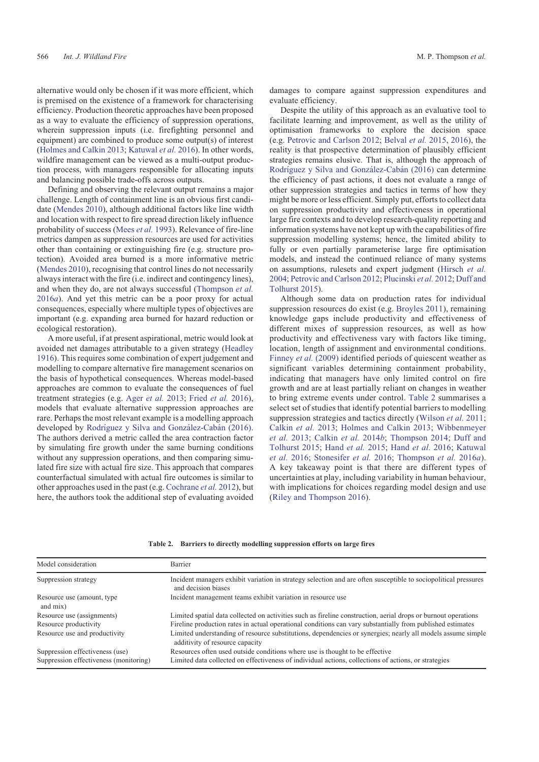<span id="page-4-0"></span>alternative would only be chosen if it was more efficient, which is premised on the existence of a framework for characterising efficiency. Production theoretic approaches have been proposed as a way to evaluate the efficiency of suppression operations, wherein suppression inputs (i.e. firefighting personnel and equipment) are combined to produce some output(s) of interest ([Holmes and Calkin 2013](#page-8-0); [Katuwal](#page-9-0) *et al.* 2016). In other words, wildfire management can be viewed as a multi-output production process, with managers responsible for allocating inputs and balancing possible trade-offs across outputs.

Defining and observing the relevant output remains a major challenge. Length of containment line is an obvious first candidate [\(Mendes 2010](#page-9-0)), although additional factors like line width and location with respect to fire spread direction likely influence probability of success [\(Mees](#page-9-0) *et al.* 1993). Relevance of fire-line metrics dampen as suppression resources are used for activities other than containing or extinguishing fire (e.g. structure protection). Avoided area burned is a more informative metric ([Mendes 2010\)](#page-9-0), recognising that control lines do not necessarily always interact with the fire (i.e. indirect and contingency lines), and when they do, are not always successful [\(Thompson](#page-10-0) *et al.* [2016](#page-10-0)*a*). And yet this metric can be a poor proxy for actual consequences, especially where multiple types of objectives are important (e.g. expanding area burned for hazard reduction or ecological restoration).

A more useful, if at present aspirational, metric would look at avoided net damages attributable to a given strategy [\(Headley](#page-8-0) [1916\)](#page-8-0). This requires some combination of expert judgement and modelling to compare alternative fire management scenarios on the basis of hypothetical consequences. Whereas model-based approaches are common to evaluate the consequences of fuel treatment strategies (e.g. Ager *[et al.](#page-7-0)* 2013; [Fried](#page-8-0) *et al.* 2016), models that evaluate alternative suppression approaches are rare. Perhaps the most relevant example is a modelling approach developed by Rodríguez y Silva and González-Cabán (2016). The authors derived a metric called the area contraction factor by simulating fire growth under the same burning conditions without any suppression operations, and then comparing simulated fire size with actual fire size. This approach that compares counterfactual simulated with actual fire outcomes is similar to other approaches used in the past (e.g. [Cochrane](#page-8-0) *et al.* 2012), but here, the authors took the additional step of evaluating avoided

damages to compare against suppression expenditures and evaluate efficiency.

Despite the utility of this approach as an evaluative tool to facilitate learning and improvement, as well as the utility of optimisation frameworks to explore the decision space (e.g. [Petrovic and Carlson 2012](#page-9-0); [Belval](#page-7-0) *et al.* 2015, [2016](#page-7-0)), the reality is that prospective determination of plausibly efficient strategies remains elusive. That is, although the approach of Rodríguez y Silva and González-Cabán (2016) can determine the efficiency of past actions, it does not evaluate a range of other suppression strategies and tactics in terms of how they might be more or less efficient. Simply put, efforts to collect data on suppression productivity and effectiveness in operational large fire contexts and to develop research-quality reporting and information systems have not kept up with the capabilities of fire suppression modelling systems; hence, the limited ability to fully or even partially parameterise large fire optimisation models, and instead the continued reliance of many systems on assumptions, rulesets and expert judgment ([Hirsch](#page-8-0) *et al.* [2004;](#page-8-0) [Petrovic and Carlson 2012;](#page-9-0) [Plucinski](#page-9-0) *et al.* 2012; [Duff and](#page-8-0) [Tolhurst 2015](#page-8-0)).

Although some data on production rates for individual suppression resources do exist (e.g. [Broyles 2011\)](#page-7-0), remaining knowledge gaps include productivity and effectiveness of different mixes of suppression resources, as well as how productivity and effectiveness vary with factors like timing, location, length of assignment and environmental conditions. [Finney](#page-8-0) *et al.* (2009) identified periods of quiescent weather as significant variables determining containment probability, indicating that managers have only limited control on fire growth and are at least partially reliant on changes in weather to bring extreme events under control. Table 2 summarises a select set of studies that identify potential barriers to modelling suppression strategies and tactics directly [\(Wilson](#page-11-0) *et al.* 2011; [Calkin](#page-7-0) *et al.* 2013; [Holmes and Calkin 2013](#page-8-0); [Wibbenmeyer](#page-11-0) *[et al.](#page-11-0)* 2013; [Calkin](#page-7-0) *et al.* 2014*b*; [Thompson 2014](#page-10-0); [Duff and](#page-8-0) [Tolhurst 2015](#page-8-0); [Hand](#page-8-0) *et al.* 2015; [Hand](#page-8-0) *et al.* 2016; [Katuwal](#page-9-0) *[et al.](#page-9-0)* 2016; [Stonesifer](#page-10-0) *et al.* 2016; [Thompson](#page-10-0) *et al.* 2016*a*). A key takeaway point is that there are different types of uncertainties at play, including variability in human behaviour, with implications for choices regarding model design and use [\(Riley and Thompson 2016\)](#page-10-0).

#### **Table 2. Barriers to directly modelling suppression efforts on large fires**

| Model consideration                     | Barrier                                                                                                                                        |
|-----------------------------------------|------------------------------------------------------------------------------------------------------------------------------------------------|
| Suppression strategy                    | Incident managers exhibit variation in strategy selection and are often susceptible to sociopolitical pressures<br>and decision biases         |
| Resource use (amount, type)<br>and mix) | Incident management teams exhibit variation in resource use                                                                                    |
| Resource use (assignments)              | Limited spatial data collected on activities such as fireline construction, aerial drops or burnout operations                                 |
| Resource productivity                   | Fireline production rates in actual operational conditions can vary substantially from published estimates                                     |
| Resource use and productivity           | Limited understanding of resource substitutions, dependencies or synergies; nearly all models assume simple<br>additivity of resource capacity |
| Suppression effectiveness (use)         | Resources often used outside conditions where use is thought to be effective                                                                   |
| Suppression effectiveness (monitoring)  | Limited data collected on effectiveness of individual actions, collections of actions, or strategies                                           |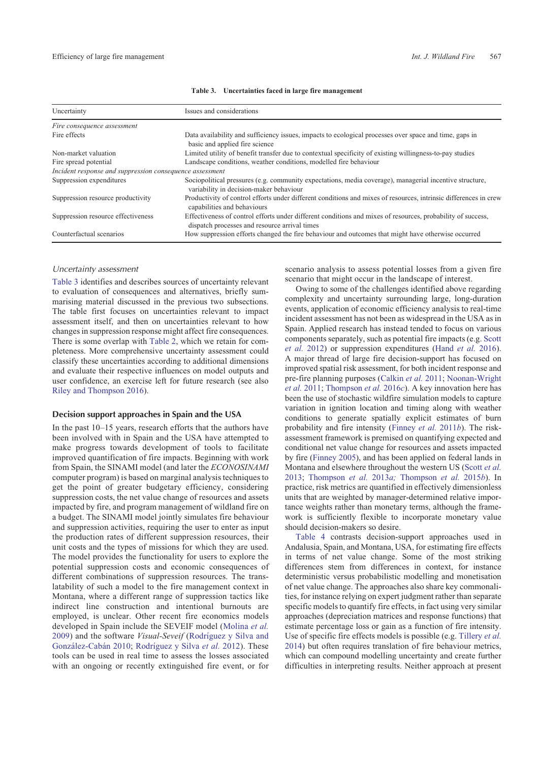|  | Table 3. Uncertainties faced in large fire management |  |  |  |
|--|-------------------------------------------------------|--|--|--|
|--|-------------------------------------------------------|--|--|--|

| Uncertainty                                              | Issues and considerations                                                                                                                                    |  |
|----------------------------------------------------------|--------------------------------------------------------------------------------------------------------------------------------------------------------------|--|
| Fire consequence assessment                              |                                                                                                                                                              |  |
| Fire effects                                             | Data availability and sufficiency issues, impacts to ecological processes over space and time, gaps in<br>basic and applied fire science                     |  |
| Non-market valuation                                     | Limited utility of benefit transfer due to contextual specificity of existing willingness-to-pay studies                                                     |  |
| Fire spread potential                                    | Landscape conditions, weather conditions, modelled fire behaviour                                                                                            |  |
| Incident response and suppression consequence assessment |                                                                                                                                                              |  |
| Suppression expenditures                                 | Sociopolitical pressures (e.g. community expectations, media coverage), managerial incentive structure,<br>variability in decision-maker behaviour           |  |
| Suppression resource productivity                        | Productivity of control efforts under different conditions and mixes of resources, intrinsic differences in crew<br>capabilities and behaviours              |  |
| Suppression resource effectiveness                       | Effectiveness of control efforts under different conditions and mixes of resources, probability of success,<br>dispatch processes and resource arrival times |  |
| Counterfactual scenarios                                 | How suppression efforts changed the fire behaviour and outcomes that might have otherwise occurred                                                           |  |

#### Uncertainty assessment

Table 3 identifies and describes sources of uncertainty relevant to evaluation of consequences and alternatives, briefly summarising material discussed in the previous two subsections. The table first focuses on uncertainties relevant to impact assessment itself, and then on uncertainties relevant to how changes in suppression response might affect fire consequences. There is some overlap with [Table 2](#page-4-0), which we retain for completeness. More comprehensive uncertainty assessment could classify these uncertainties according to additional dimensions and evaluate their respective influences on model outputs and user confidence, an exercise left for future research (see also [Riley and Thompson 2016\)](#page-10-0).

# Decision support approaches in Spain and the USA

In the past 10–15 years, research efforts that the authors have been involved with in Spain and the USA have attempted to make progress towards development of tools to facilitate improved quantification of fire impacts. Beginning with work from Spain, the SINAMI model (and later the *ECONOSINAMI* computer program) is based on marginal analysis techniques to get the point of greater budgetary efficiency, considering suppression costs, the net value change of resources and assets impacted by fire, and program management of wildland fire on a budget. The SINAMI model jointly simulates fire behaviour and suppression activities, requiring the user to enter as input the production rates of different suppression resources, their unit costs and the types of missions for which they are used. The model provides the functionality for users to explore the potential suppression costs and economic consequences of different combinations of suppression resources. The translatability of such a model to the fire management context in Montana, where a different range of suppression tactics like indirect line construction and intentional burnouts are employed, is unclear. Other recent fire economics models developed in Spain include the SEVEIF model ([Molina](#page-9-0) *et al.* [2009](#page-9-0)) and the software *Visual-Seveif* (Rodríguez y Silva and González-Cabán 2010; Rodríguez y Silva et al. 2012). These tools can be used in real time to assess the losses associated with an ongoing or recently extinguished fire event, or for scenario analysis to assess potential losses from a given fire scenario that might occur in the landscape of interest.

Owing to some of the challenges identified above regarding complexity and uncertainty surrounding large, long-duration events, application of economic efficiency analysis to real-time incident assessment has not been as widespread in the USA as in Spain. Applied research has instead tended to focus on various components separately, such as potential fire impacts (e.g. [Scott](#page-10-0) *[et al.](#page-10-0)* 2012) or suppression expenditures (Hand *[et al.](#page-8-0)* 2016). A major thread of large fire decision-support has focused on improved spatial risk assessment, for both incident response and pre-fire planning purposes ([Calkin](#page-7-0) *et al.* 2011; [Noonan-Wright](#page-9-0) *et al.* [2011;](#page-9-0) [Thompson](#page-10-0) *et al.* 2016*c*). A key innovation here has been the use of stochastic wildfire simulation models to capture variation in ignition location and timing along with weather conditions to generate spatially explicit estimates of burn probability and fire intensity ([Finney](#page-8-0) *et al.* 2011*b*). The riskassessment framework is premised on quantifying expected and conditional net value change for resources and assets impacted by fire ([Finney 2005](#page-8-0)), and has been applied on federal lands in Montana and elsewhere throughout the western US [\(Scott](#page-10-0) *et al.* [2013;](#page-10-0) [Thompson](#page-10-0) *et al.* 2013*a;* [Thompson](#page-10-0) *et al.* 2015*b*). In practice, risk metrics are quantified in effectively dimensionless units that are weighted by manager-determined relative importance weights rather than monetary terms, although the framework is sufficiently flexible to incorporate monetary value should decision-makers so desire.

[Table 4](#page-6-0) contrasts decision-support approaches used in Andalusia, Spain, and Montana, USA, for estimating fire effects in terms of net value change. Some of the most striking differences stem from differences in context, for instance deterministic versus probabilistic modelling and monetisation of net value change. The approaches also share key commonalities, for instance relying on expert judgment rather than separate specific models to quantify fire effects, in fact using very similar approaches (depreciation matrices and response functions) that estimate percentage loss or gain as a function of fire intensity. Use of specific fire effects models is possible (e.g. [Tillery](#page-10-0) *et al.* [2014\)](#page-10-0) but often requires translation of fire behaviour metrics, which can compound modelling uncertainty and create further difficulties in interpreting results. Neither approach at present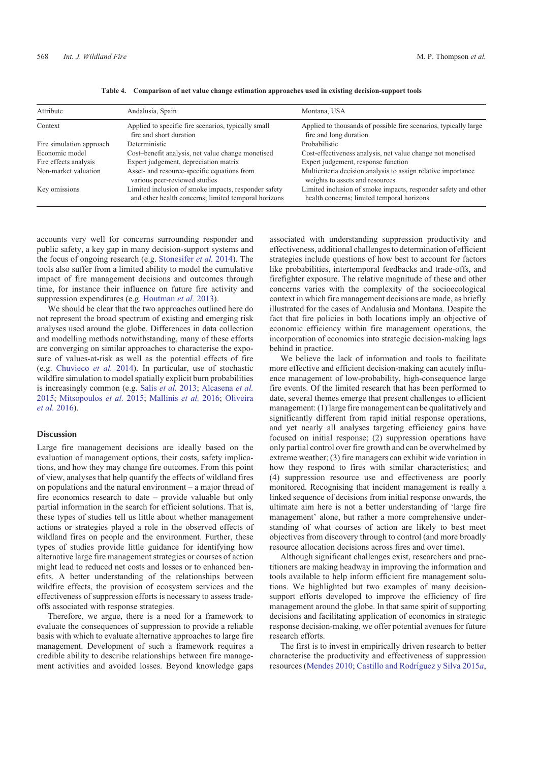<span id="page-6-0"></span>

| Attribute                | Andalusia, Spain                                                                                             | Montana, USA                                                                                                 |
|--------------------------|--------------------------------------------------------------------------------------------------------------|--------------------------------------------------------------------------------------------------------------|
| Context                  | Applied to specific fire scenarios, typically small<br>fire and short duration                               | Applied to thousands of possible fire scenarios, typically large<br>fire and long duration                   |
| Fire simulation approach | Deterministic                                                                                                | Probabilistic                                                                                                |
| Economic model           | Cost-benefit analysis, net value change monetised                                                            | Cost-effectiveness analysis, net value change not monetised                                                  |
| Fire effects analysis    | Expert judgement, depreciation matrix                                                                        | Expert judgement, response function                                                                          |
| Non-market valuation     | Asset- and resource-specific equations from<br>various peer-reviewed studies                                 | Multicriteria decision analysis to assign relative importance<br>weights to assets and resources             |
| Key omissions            | Limited inclusion of smoke impacts, responder safety<br>and other health concerns; limited temporal horizons | Limited inclusion of smoke impacts, responder safety and other<br>health concerns; limited temporal horizons |

**Table 4. Comparison of net value change estimation approaches used in existing decision-support tools**

accounts very well for concerns surrounding responder and public safety, a key gap in many decision-support systems and the focus of ongoing research (e.g. [Stonesifer](#page-10-0) *et al.* 2014). The tools also suffer from a limited ability to model the cumulative impact of fire management decisions and outcomes through time, for instance their influence on future fire activity and suppression expenditures (e.g. [Houtman](#page-8-0) *et al.* 2013).

We should be clear that the two approaches outlined here do not represent the broad spectrum of existing and emerging risk analyses used around the globe. Differences in data collection and modelling methods notwithstanding, many of these efforts are converging on similar approaches to characterise the exposure of values-at-risk as well as the potential effects of fire (e.g. [Chuvieco](#page-7-0) *et al.* 2014). In particular, use of stochastic wildfire simulation to model spatially explicit burn probabilities is increasingly common (e.g. Salis *[et al.](#page-10-0)* 2013; [Alcasena](#page-7-0) *et al.* [2015;](#page-7-0) [Mitsopoulos](#page-9-0) *et al.* 2015; [Mallinis](#page-9-0) *et al.* 2016; [Oliveira](#page-9-0) *[et al.](#page-9-0)* 2016).

# Discussion

Large fire management decisions are ideally based on the evaluation of management options, their costs, safety implications, and how they may change fire outcomes. From this point of view, analyses that help quantify the effects of wildland fires on populations and the natural environment – a major thread of fire economics research to date – provide valuable but only partial information in the search for efficient solutions. That is, these types of studies tell us little about whether management actions or strategies played a role in the observed effects of wildland fires on people and the environment. Further, these types of studies provide little guidance for identifying how alternative large fire management strategies or courses of action might lead to reduced net costs and losses or to enhanced benefits. A better understanding of the relationships between wildfire effects, the provision of ecosystem services and the effectiveness of suppression efforts is necessary to assess tradeoffs associated with response strategies.

Therefore, we argue, there is a need for a framework to evaluate the consequences of suppression to provide a reliable basis with which to evaluate alternative approaches to large fire management. Development of such a framework requires a credible ability to describe relationships between fire management activities and avoided losses. Beyond knowledge gaps associated with understanding suppression productivity and effectiveness, additional challenges to determination of efficient strategies include questions of how best to account for factors like probabilities, intertemporal feedbacks and trade-offs, and firefighter exposure. The relative magnitude of these and other concerns varies with the complexity of the socioecological context in which fire management decisions are made, as briefly illustrated for the cases of Andalusia and Montana. Despite the fact that fire policies in both locations imply an objective of economic efficiency within fire management operations, the incorporation of economics into strategic decision-making lags behind in practice.

We believe the lack of information and tools to facilitate more effective and efficient decision-making can acutely influence management of low-probability, high-consequence large fire events. Of the limited research that has been performed to date, several themes emerge that present challenges to efficient management: (1) large fire management can be qualitatively and significantly different from rapid initial response operations, and yet nearly all analyses targeting efficiency gains have focused on initial response; (2) suppression operations have only partial control over fire growth and can be overwhelmed by extreme weather; (3) fire managers can exhibit wide variation in how they respond to fires with similar characteristics; and (4) suppression resource use and effectiveness are poorly monitored. Recognising that incident management is really a linked sequence of decisions from initial response onwards, the ultimate aim here is not a better understanding of 'large fire management' alone, but rather a more comprehensive understanding of what courses of action are likely to best meet objectives from discovery through to control (and more broadly resource allocation decisions across fires and over time).

Although significant challenges exist, researchers and practitioners are making headway in improving the information and tools available to help inform efficient fire management solutions. We highlighted but two examples of many decisionsupport efforts developed to improve the efficiency of fire management around the globe. In that same spirit of supporting decisions and facilitating application of economics in strategic response decision-making, we offer potential avenues for future research efforts.

The first is to invest in empirically driven research to better characterise the productivity and effectiveness of suppression resources ([Mendes 2010;](#page-9-0) Castillo and Rodríguez y Silva 2015a,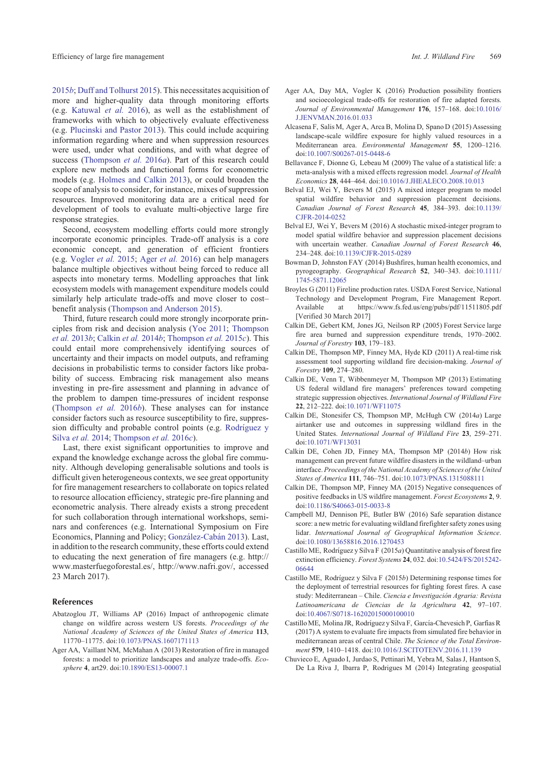<span id="page-7-0"></span>2015*b*; [Duff and Tolhurst 2015](#page-8-0)). This necessitates acquisition of more and higher-quality data through monitoring efforts (e.g. [Katuwal](#page-9-0) *et al.* 2016), as well as the establishment of frameworks with which to objectively evaluate effectiveness (e.g. [Plucinski and Pastor 2013\)](#page-9-0). This could include acquiring information regarding where and when suppression resources were used, under what conditions, and with what degree of success ([Thompson](#page-10-0) *et al.* 2016*a*). Part of this research could explore new methods and functional forms for econometric models (e.g. [Holmes and Calkin 2013\)](#page-8-0), or could broaden the scope of analysis to consider, for instance, mixes of suppression resources. Improved monitoring data are a critical need for development of tools to evaluate multi-objective large fire response strategies.

Second, ecosystem modelling efforts could more strongly incorporate economic principles. Trade-off analysis is a core economic concept, and generation of efficient frontiers (e.g. [Vogler](#page-10-0) *et al.* 2015; Ager *et al.* 2016) can help managers balance multiple objectives without being forced to reduce all aspects into monetary terms. Modelling approaches that link ecosystem models with management expenditure models could similarly help articulate trade-offs and move closer to cost– benefit analysis ([Thompson and Anderson 2015](#page-10-0)).

Third, future research could more strongly incorporate principles from risk and decision analysis [\(Yoe 2011](#page-11-0); [Thompson](#page-10-0) *et al.* [2013](#page-10-0)*b*; Calkin *et al.* 2014*b*; [Thompson](#page-10-0) *et al.* 2015*c*). This could entail more comprehensively identifying sources of uncertainty and their impacts on model outputs, and reframing decisions in probabilistic terms to consider factors like probability of success. Embracing risk management also means investing in pre-fire assessment and planning in advance of the problem to dampen time-pressures of incident response ([Thompson](#page-10-0) *et al.* 2016*b*). These analyses can for instance consider factors such as resource susceptibility to fire, suppression difficulty and probable control points (e.g. Rodríguez y [Silva](#page-10-0) *et al.* 2014; [Thompson](#page-10-0) *et al.* 2016*c*).

Last, there exist significant opportunities to improve and expand the knowledge exchange across the global fire community. Although developing generalisable solutions and tools is difficult given heterogeneous contexts, we see great opportunity for fire management researchers to collaborate on topics related to resource allocation efficiency, strategic pre-fire planning and econometric analysis. There already exists a strong precedent for such collaboration through international workshops, seminars and conferences (e.g. International Symposium on Fire Economics, Planning and Policy; González-Cabán 2013). Last, in addition to the research community, these efforts could extend to educating the next generation of fire managers (e.g. [http://](http://www.masterfuegoforestal.es/) [www.masterfuegoforestal.es/,](http://www.masterfuegoforestal.es/) [http://www.nafri.gov/,](http://www.nafri.gov/) accessed 23 March 2017).

#### References

- Abatzoglou JT, Williams AP (2016) Impact of anthropogenic climate change on wildfire across western US forests. *Proceedings of the National Academy of Sciences of the United States of America* **113**, 11770–11775. doi:[10.1073/PNAS.1607171113](http://dx.doi.org/10.1073/PNAS.1607171113)
- Ager AA, Vaillant NM, McMahan A (2013) Restoration of fire in managed forests: a model to prioritize landscapes and analyze trade-offs. *Ecosphere* **4**, art29. doi:[10.1890/ES13-00007.1](http://dx.doi.org/10.1890/ES13-00007.1)
- Ager AA, Day MA, Vogler K (2016) Production possibility frontiers and socioecological trade-offs for restoration of fire adapted forests. *Journal of Environmental Management* **176**, 157–168. doi:[10.1016/](http://dx.doi.org/10.1016/J.JENVMAN.2016.01.033) [J.JENVMAN.2016.01.033](http://dx.doi.org/10.1016/J.JENVMAN.2016.01.033)
- Alcasena F, Salis M, Ager A, Arca B, Molina D, Spano D (2015) Assessing landscape-scale wildfire exposure for highly valued resources in a Mediterranean area. *Environmental Management* **55**, 1200–1216. doi[:10.1007/S00267-015-0448-6](http://dx.doi.org/10.1007/S00267-015-0448-6)
- Bellavance F, Dionne G, Lebeau M (2009) The value of a statistical life: a meta-analysis with a mixed effects regression model. *Journal of Health Economics* **28**, 444–464. doi[:10.1016/J.JHEALECO.2008.10.013](http://dx.doi.org/10.1016/J.JHEALECO.2008.10.013)
- Belval EJ, Wei Y, Bevers M (2015) A mixed integer program to model spatial wildfire behavior and suppression placement decisions. *Canadian Journal of Forest Research* **45**, 384–393. doi:[10.1139/](http://dx.doi.org/10.1139/CJFR-2014-0252) [CJFR-2014-0252](http://dx.doi.org/10.1139/CJFR-2014-0252)
- Belval EJ, Wei Y, Bevers M (2016) A stochastic mixed-integer program to model spatial wildfire behavior and suppression placement decisions with uncertain weather. *Canadian Journal of Forest Research* **46**, 234–248. doi[:10.1139/CJFR-2015-0289](http://dx.doi.org/10.1139/CJFR-2015-0289)
- Bowman D, Johnston FAY (2014) Bushfires, human health economics, and pyrogeography. *Geographical Research* **52**, 340–343. doi:[10.1111/](http://dx.doi.org/10.1111/1745-5871.12065) [1745-5871.12065](http://dx.doi.org/10.1111/1745-5871.12065)
- Broyles G (2011) Fireline production rates. USDA Forest Service, National Technology and Development Program, Fire Management Report. Available at<https://www.fs.fed.us/eng/pubs/pdf/11511805.pdf> [Verified 30 March 2017]
- Calkin DE, Gebert KM, Jones JG, Neilson RP (2005) Forest Service large fire area burned and suppression expenditure trends, 1970–2002. *Journal of Forestry* **103**, 179–183.
- Calkin DE, Thompson MP, Finney MA, Hyde KD (2011) A real-time risk assessment tool supporting wildland fire decision-making. *Journal of Forestry* **109**, 274–280.
- Calkin DE, Venn T, Wibbenmeyer M, Thompson MP (2013) Estimating US federal wildland fire managers' preferences toward competing strategic suppression objectives. *International Journal of Wildland Fire* **22**, 212–222. doi[:10.1071/WF11075](http://dx.doi.org/10.1071/WF11075)
- Calkin DE, Stonesifer CS, Thompson MP, McHugh CW (2014*a*) Large airtanker use and outcomes in suppressing wildland fires in the United States. *International Journal of Wildland Fire* **23**, 259–271. doi[:10.1071/WF13031](http://dx.doi.org/10.1071/WF13031)
- Calkin DE, Cohen JD, Finney MA, Thompson MP (2014*b*) How risk management can prevent future wildfire disasters in the wildland–urban interface.*Proceedings of the National Academy of Sciences of the United States of America* **111**, 746–751. doi[:10.1073/PNAS.1315088111](http://dx.doi.org/10.1073/PNAS.1315088111)
- Calkin DE, Thompson MP, Finney MA (2015) Negative consequences of positive feedbacks in US wildfire management. *Forest Ecosystems* **2**, 9. doi[:10.1186/S40663-015-0033-8](http://dx.doi.org/10.1186/S40663-015-0033-8)
- Campbell MJ, Dennison PE, Butler BW (2016) Safe separation distance score: a new metric for evaluating wildland firefighter safety zones using lidar. *International Journal of Geographical Information Science*. doi[:10.1080/13658816.2016.1270453](http://dx.doi.org/10.1080/13658816.2016.1270453)
- Castillo ME, Rodríguez y Silva F (2015*a*) Quantitative analysis of forest fire extinction efficiency. *Forest Systems* **24**, 032. doi[:10.5424/FS/2015242-](http://dx.doi.org/10.5424/FS/2015242-06644) [06644](http://dx.doi.org/10.5424/FS/2015242-06644)
- Castillo ME, Rodríguez y Silva F (2015*b*) Determining response times for the deployment of terrestrial resources for fighting forest fires. A case study: Mediterranean - Chile. Ciencia e Investigación Agraria: Revista *Latinoamericana de Ciencias de la Agricultura* **42**, 97–107. doi[:10.4067/S0718-16202015000100010](http://dx.doi.org/10.4067/S0718-16202015000100010)
- Castillo ME, Molina JR, Rodríguez y Silva F, García-Chevesich P, Garfias R (2017) A system to evaluate fire impacts from simulated fire behavior in mediterranean areas of central Chile. *The Science of the Total Environment* **579**, 1410–1418. doi:[10.1016/J.SCITOTENV.2016.11.139](http://dx.doi.org/10.1016/J.SCITOTENV.2016.11.139)
- Chuvieco E, Aguado I, Jurdao S, Pettinari M, Yebra M, Salas J, Hantson S, De La Riva J, Ibarra P, Rodrigues M (2014) Integrating geospatial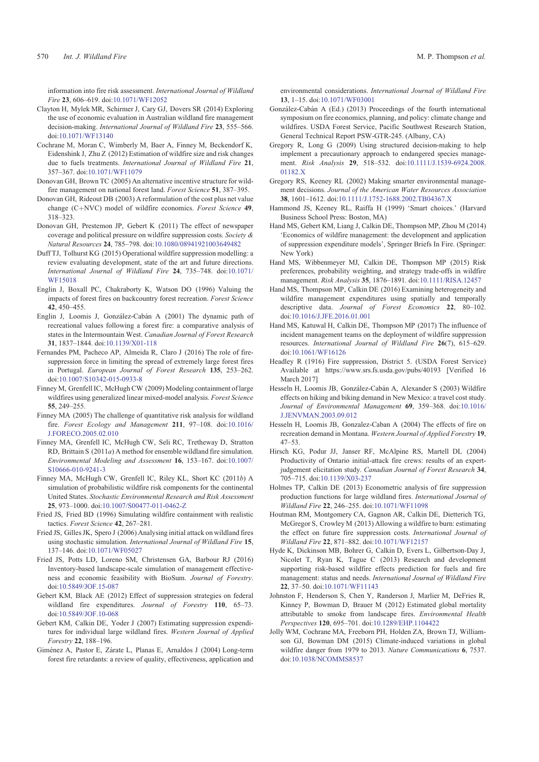<span id="page-8-0"></span>information into fire risk assessment. *International Journal of Wildland Fire* **23**, 606–619. doi:[10.1071/WF12052](http://dx.doi.org/10.1071/WF12052)

- Clayton H, Mylek MR, Schirmer J, Cary GJ, Dovers SR (2014) Exploring the use of economic evaluation in Australian wildland fire management decision-making. *International Journal of Wildland Fire* **23**, 555–566. doi[:10.1071/WF13140](http://dx.doi.org/10.1071/WF13140)
- Cochrane M, Moran C, Wimberly M, Baer A, Finney M, Beckendorf K, Eidenshink J, Zhu Z (2012) Estimation of wildfire size and risk changes due to fuels treatments. *International Journal of Wildland Fire* **21**, 357–367. doi[:10.1071/WF11079](http://dx.doi.org/10.1071/WF11079)
- Donovan GH, Brown TC (2005) An alternative incentive structure for wildfire management on national forest land. *Forest Science* **51**, 387–395.
- Donovan GH, Rideout DB (2003) A reformulation of the cost plus net value change (C+NVC) model of wildfire economics. *Forest Science* 49, 318–323.
- Donovan GH, Prestemon JP, Gebert K (2011) The effect of newspaper coverage and political pressure on wildfire suppression costs. *Society & Natural Resources* **24**, 785–798. doi:[10.1080/08941921003649482](http://dx.doi.org/10.1080/08941921003649482)
- Duff TJ, Tolhurst KG (2015) Operational wildfire suppression modelling: a review evaluating development, state of the art and future directions. *International Journal of Wildland Fire* **24**, 735–748. doi:[10.1071/](http://dx.doi.org/10.1071/WF15018) [WF15018](http://dx.doi.org/10.1071/WF15018)
- Englin J, Boxall PC, Chakraborty K, Watson DO (1996) Valuing the impacts of forest fires on backcountry forest recreation. *Forest Science* **42**, 450–455.
- Englin J, Loomis J, González-Cabán A (2001) The dynamic path of recreational values following a forest fire: a comparative analysis of states in the Intermountain West. *Canadian Journal of Forest Research* **31**, 1837–1844. doi[:10.1139/X01-118](http://dx.doi.org/10.1139/X01-118)
- Fernandes PM, Pacheco AP, Almeida R, Claro J (2016) The role of firesuppression force in limiting the spread of extremely large forest fires in Portugal. *European Journal of Forest Research* **135**, 253–262. doi[:10.1007/S10342-015-0933-8](http://dx.doi.org/10.1007/S10342-015-0933-8)
- Finney M, Grenfell IC, McHugh CW (2009) Modeling containment of large wildfires using generalized linear mixed-model analysis. *Forest Science* **55**, 249–255.
- Finney MA (2005) The challenge of quantitative risk analysis for wildland fire. *Forest Ecology and Management* **211**, 97–108. doi:[10.1016/](http://dx.doi.org/10.1016/J.FORECO.2005.02.010) [J.FORECO.2005.02.010](http://dx.doi.org/10.1016/J.FORECO.2005.02.010)
- Finney MA, Grenfell IC, McHugh CW, Seli RC, Tretheway D, Stratton RD, Brittain S (2011*a*) A method for ensemble wildland fire simulation. *Environmental Modeling and Assessment* **16**, 153–167. doi:[10.1007/](http://dx.doi.org/10.1007/S10666-010-9241-3) [S10666-010-9241-3](http://dx.doi.org/10.1007/S10666-010-9241-3)
- Finney MA, McHugh CW, Grenfell IC, Riley KL, Short KC (2011*b*) A simulation of probabilistic wildfire risk components for the continental United States. *Stochastic Environmental Research and Risk Assessment* **25**, 973–1000. doi[:10.1007/S00477-011-0462-Z](http://dx.doi.org/10.1007/S00477-011-0462-Z)
- Fried JS, Fried BD (1996) Simulating wildfire containment with realistic tactics. *Forest Science* **42**, 267–281.
- Fried JS, Gilles JK, Spero J (2006) Analysing initial attack on wildland fires using stochastic simulation. *International Journal of Wildland Fire* **15**, 137–146. doi[:10.1071/WF05027](http://dx.doi.org/10.1071/WF05027)
- Fried JS, Potts LD, Loreno SM, Christensen GA, Barbour RJ (2016) Inventory-based landscape-scale simulation of management effectiveness and economic feasibility with BioSum. *Journal of Forestry*. doi[:10.5849/JOF.15-087](http://dx.doi.org/10.5849/JOF.15-087)
- Gebert KM, Black AE (2012) Effect of suppression strategies on federal wildland fire expenditures. *Journal of Forestry* **110**, 65–73. doi[:10.5849/JOF.10-068](http://dx.doi.org/10.5849/JOF.10-068)
- Gebert KM, Calkin DE, Yoder J (2007) Estimating suppression expenditures for individual large wildland fires. *Western Journal of Applied Forestry* **22**, 188–196.
- Giménez A, Pastor E, Zárate L, Planas E, Arnaldos J (2004) Long-term forest fire retardants: a review of quality, effectiveness, application and

environmental considerations. *International Journal of Wildland Fire* **13**, 1–15. doi[:10.1071/WF03001](http://dx.doi.org/10.1071/WF03001)

- González-Cabán A (Ed.) (2013) Proceedings of the fourth international symposium on fire economics, planning, and policy: climate change and wildfires. USDA Forest Service, Pacific Southwest Research Station, General Technical Report PSW-GTR-245. (Albany, CA)
- Gregory R, Long G (2009) Using structured decision-making to help implement a precautionary approach to endangered species management. *Risk Analysis* **29**, 518–532. doi:[10.1111/J.1539-6924.2008.](http://dx.doi.org/10.1111/J.1539-6924.2008.01182.X) [01182.X](http://dx.doi.org/10.1111/J.1539-6924.2008.01182.X)
- Gregory RS, Keeney RL (2002) Making smarter environmental management decisions. *Journal of the American Water Resources Association* **38**, 1601–1612. doi[:10.1111/J.1752-1688.2002.TB04367.X](http://dx.doi.org/10.1111/J.1752-1688.2002.TB04367.X)
- Hammond JS, Keeney RL, Raiffa H (1999) 'Smart choices.' (Harvard Business School Press: Boston, MA)
- Hand MS, Gebert KM, Liang J, Calkin DE, Thompson MP, Zhou M (2014) 'Economics of wildfire management: the development and application of suppression expenditure models', Springer Briefs In Fire. (Springer: New York)
- Hand MS, Wibbenmeyer MJ, Calkin DE, Thompson MP (2015) Risk preferences, probability weighting, and strategy trade-offs in wildfire management. *Risk Analysis* **35**, 1876–1891. doi:[10.1111/RISA.12457](http://dx.doi.org/10.1111/RISA.12457)
- Hand MS, Thompson MP, Calkin DE (2016) Examining heterogeneity and wildfire management expenditures using spatially and temporally descriptive data. *Journal of Forest Economics* **22**, 80–102. doi[:10.1016/J.JFE.2016.01.001](http://dx.doi.org/10.1016/J.JFE.2016.01.001)
- Hand MS, Katuwal H, Calkin DE, Thompson MP (2017) The influence of incident management teams on the deployment of wildfire suppression resources. *International Journal of Wildland Fire* **26**(7), 615–629. doi[:10.1061/WF16126](http://dx.doi.org/10.1061/WF16126)
- Headley R (1916) Fire suppression, District 5. (USDA Forest Service) Available at<https://www.srs.fs.usda.gov/pubs/40193> [Verified 16 March 2017]
- Hesseln H, Loomis JB, González-Cabán A, Alexander S (2003) Wildfire effects on hiking and biking demand in New Mexico: a travel cost study. *Journal of Environmental Management* **69**, 359–368. doi:[10.1016/](http://dx.doi.org/10.1016/J.JENVMAN.2003.09.012) [J.JENVMAN.2003.09.012](http://dx.doi.org/10.1016/J.JENVMAN.2003.09.012)
- Hesseln H, Loomis JB, Gonzalez-Caban A (2004) The effects of fire on recreation demand in Montana. *Western Journal of Applied Forestry* **19**, 47–53.
- Hirsch KG, Podur JJ, Janser RF, McAlpine RS, Martell DL (2004) Productivity of Ontario initial-attack fire crews: results of an expertjudgement elicitation study. *Canadian Journal of Forest Research* **34**, 705–715. doi[:10.1139/X03-237](http://dx.doi.org/10.1139/X03-237)
- Holmes TP, Calkin DE (2013) Econometric analysis of fire suppression production functions for large wildland fires. *International Journal of Wildland Fire* **22**, 246–255. doi[:10.1071/WF11098](http://dx.doi.org/10.1071/WF11098)
- Houtman RM, Montgomery CA, Gagnon AR, Calkin DE, Dietterich TG, McGregor S, Crowley M (2013) Allowing a wildfire to burn: estimating the effect on future fire suppression costs. *International Journal of Wildland Fire* **22**, 871–882. doi[:10.1071/WF12157](http://dx.doi.org/10.1071/WF12157)
- Hyde K, Dickinson MB, Bohrer G, Calkin D, Evers L, Gilbertson-Day J, Nicolet T, Ryan K, Tague C (2013) Research and development supporting risk-based wildfire effects prediction for fuels and fire management: status and needs. *International Journal of Wildland Fire* **22**, 37–50. doi[:10.1071/WF11143](http://dx.doi.org/10.1071/WF11143)
- Johnston F, Henderson S, Chen Y, Randerson J, Marlier M, DeFries R, Kinney P, Bowman D, Brauer M (2012) Estimated global mortality attributable to smoke from landscape fires. *Environmental Health Perspectives* **120**, 695–701. doi[:10.1289/EHP.1104422](http://dx.doi.org/10.1289/EHP.1104422)
- Jolly WM, Cochrane MA, Freeborn PH, Holden ZA, Brown TJ, Williamson GJ, Bowman DM (2015) Climate-induced variations in global wildfire danger from 1979 to 2013. *Nature Communications* **6**, 7537. doi[:10.1038/NCOMMS8537](http://dx.doi.org/10.1038/NCOMMS8537)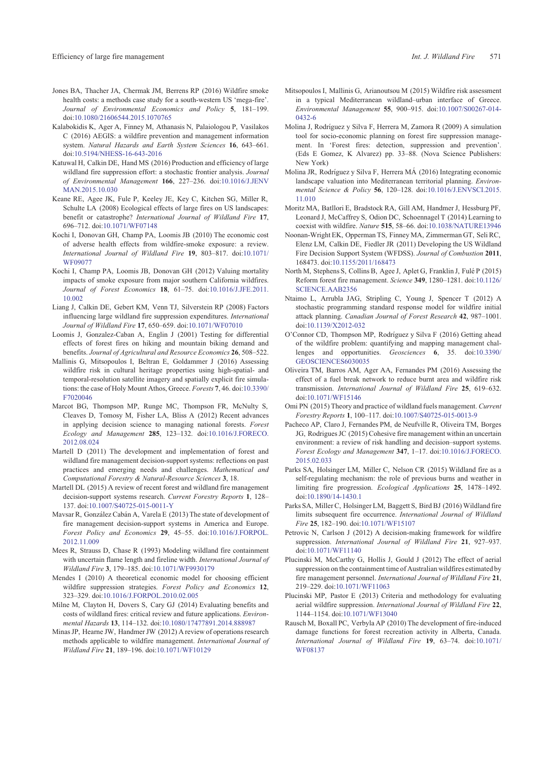- <span id="page-9-0"></span>Jones BA, Thacher JA, Chermak JM, Berrens RP (2016) Wildfire smoke health costs: a methods case study for a south-western US 'mega-fire'. *Journal of Environmental Economics and Policy* **5**, 181–199. doi[:10.1080/21606544.2015.1070765](http://dx.doi.org/10.1080/21606544.2015.1070765)
- Kalabokidis K, Ager A, Finney M, Athanasis N, Palaiologou P, Vasilakos C (2016) AEGIS: a wildfire prevention and management information system. *Natural Hazards and Earth System Sciences* **16**, 643–661. doi[:10.5194/NHESS-16-643-2016](http://dx.doi.org/10.5194/NHESS-16-643-2016)
- Katuwal H, Calkin DE, Hand MS (2016) Production and efficiency of large wildland fire suppression effort: a stochastic frontier analysis. *Journal of Environmental Management* **166**, 227–236. doi[:10.1016/J.JENV](http://dx.doi.org/10.1016/J.JENVMAN.2015.10.030) [MAN.2015.10.030](http://dx.doi.org/10.1016/J.JENVMAN.2015.10.030)
- Keane RE, Agee JK, Fule P, Keeley JE, Key C, Kitchen SG, Miller R, Schulte LA (2008) Ecological effects of large fires on US landscapes: benefit or catastrophe? *International Journal of Wildland Fire* **17**, 696–712. doi[:10.1071/WF07148](http://dx.doi.org/10.1071/WF07148)
- Kochi I, Donovan GH, Champ PA, Loomis JB (2010) The economic cost of adverse health effects from wildfire-smoke exposure: a review. *International Journal of Wildland Fire* **19**, 803–817. doi:[10.1071/](http://dx.doi.org/10.1071/WF09077) [WF09077](http://dx.doi.org/10.1071/WF09077)
- Kochi I, Champ PA, Loomis JB, Donovan GH (2012) Valuing mortality impacts of smoke exposure from major southern California wildfires. *Journal of Forest Economics* **18**, 61–75. doi:[10.1016/J.JFE.2011.](http://dx.doi.org/10.1016/J.JFE.2011.10.002) [10.002](http://dx.doi.org/10.1016/J.JFE.2011.10.002)
- Liang J, Calkin DE, Gebert KM, Venn TJ, Silverstein RP (2008) Factors influencing large wildland fire suppression expenditures. *International Journal of Wildland Fire* **17**, 650–659. doi[:10.1071/WF07010](http://dx.doi.org/10.1071/WF07010)
- Loomis J, Gonzalez-Caban A, Englin J (2001) Testing for differential effects of forest fires on hiking and mountain biking demand and benefits. *Journal of Agricultural and Resource Economics* **26**, 508–522.
- Mallinis G, Mitsopoulos I, Beltran E, Goldammer J (2016) Assessing wildfire risk in cultural heritage properties using high-spatial- and temporal-resolution satellite imagery and spatially explicit fire simulations: the case of Holy Mount Athos, Greece. *Forests* **7**, 46. doi:[10.3390/](http://dx.doi.org/10.3390/F7020046) [F7020046](http://dx.doi.org/10.3390/F7020046)
- Marcot BG, Thompson MP, Runge MC, Thompson FR, McNulty S, Cleaves D, Tomosy M, Fisher LA, Bliss A (2012) Recent advances in applying decision science to managing national forests. *Forest Ecology and Management* **285**, 123–132. doi:[10.1016/J.FORECO.](http://dx.doi.org/10.1016/J.FORECO.2012.08.024) [2012.08.024](http://dx.doi.org/10.1016/J.FORECO.2012.08.024)
- Martell D (2011) The development and implementation of forest and wildland fire management decision-support systems: reflections on past practices and emerging needs and challenges. *Mathematical and Computational Forestry & Natural-Resource Sciences* **3**, 18.
- Martell DL (2015) A review of recent forest and wildland fire management decision-support systems research. *Current Forestry Reports* **1**, 128– 137. doi[:10.1007/S40725-015-0011-Y](http://dx.doi.org/10.1007/S40725-015-0011-Y)
- Mavsar R, González Cabán A, Varela E (2013) The state of development of fire management decision-support systems in America and Europe. *Forest Policy and Economics* **29**, 45–55. doi[:10.1016/J.FORPOL.](http://dx.doi.org/10.1016/J.FORPOL.2012.11.009) [2012.11.009](http://dx.doi.org/10.1016/J.FORPOL.2012.11.009)
- Mees R, Strauss D, Chase R (1993) Modeling wildland fire containment with uncertain flame length and fireline width. *International Journal of Wildland Fire* **3**, 179–185. doi[:10.1071/WF9930179](http://dx.doi.org/10.1071/WF9930179)
- Mendes I (2010) A theoretical economic model for choosing efficient wildfire suppression strategies. *Forest Policy and Economics* **12**, 323–329. doi[:10.1016/J.FORPOL.2010.02.005](http://dx.doi.org/10.1016/J.FORPOL.2010.02.005)
- Milne M, Clayton H, Dovers S, Cary GJ (2014) Evaluating benefits and costs of wildland fires: critical review and future applications. *Environmental Hazards* **13**, 114–132. doi:[10.1080/17477891.2014.888987](http://dx.doi.org/10.1080/17477891.2014.888987)
- Minas JP, Hearne JW, Handmer JW (2012) A review of operations research methods applicable to wildfire management. *International Journal of Wildland Fire* **21**, 189–196. doi[:10.1071/WF10129](http://dx.doi.org/10.1071/WF10129)
- Mitsopoulos I, Mallinis G, Arianoutsou M (2015) Wildfire risk assessment in a typical Mediterranean wildland–urban interface of Greece. *Environmental Management* **55**, 900–915. doi[:10.1007/S00267-014-](http://dx.doi.org/10.1007/S00267-014-0432-6) [0432-6](http://dx.doi.org/10.1007/S00267-014-0432-6)
- Molina J, Rodríguez y Silva F, Herrera M, Zamora R (2009) A simulation tool for socio-economic planning on forest fire suppression management. In 'Forest fires: detection, suppression and prevention'. (Eds E Gomez, K Alvarez) pp. 33–88. (Nova Science Publishers: New York)
- Molina JR, Rodríguez y Silva F, Herrera MÁ (2016) Integrating economic landscape valuation into Mediterranean territorial planning. *Environmental Science & Policy* **56**, 120–128. doi[:10.1016/J.ENVSCI.2015.](http://dx.doi.org/10.1016/J.ENVSCI.2015.11.010) [11.010](http://dx.doi.org/10.1016/J.ENVSCI.2015.11.010)
- Moritz MA, Batllori E, Bradstock RA, Gill AM, Handmer J, Hessburg PF, Leonard J, McCaffrey S, Odion DC, Schoennagel T (2014) Learning to coexist with wildfire. *Nature* **515**, 58–66. doi[:10.1038/NATURE13946](http://dx.doi.org/10.1038/NATURE13946)
- Noonan-Wright EK, Opperman TS, Finney MA, Zimmerman GT, Seli RC, Elenz LM, Calkin DE, Fiedler JR (2011) Developing the US Wildland Fire Decision Support System (WFDSS). *Journal of Combustion* **2011**, 168473. doi[:10.1155/2011/168473](http://dx.doi.org/10.1155/2011/168473)
- North M, Stephens S, Collins B, Agee J, Aplet G, Franklin J, Fulé P (2015) Reform forest fire management. *Science* **349**, 1280–1281. doi:[10.1126/](http://dx.doi.org/10.1126/SCIENCE.AAB2356) [SCIENCE.AAB2356](http://dx.doi.org/10.1126/SCIENCE.AAB2356)
- Ntaimo L, Arrubla JAG, Stripling C, Young J, Spencer T (2012) A stochastic programming standard response model for wildfire initial attack planning. *Canadian Journal of Forest Research* **42**, 987–1001. doi[:10.1139/X2012-032](http://dx.doi.org/10.1139/X2012-032)
- O'Connor CD, Thompson MP, Rodríguez y Silva F (2016) Getting ahead of the wildfire problem: quantifying and mapping management challenges and opportunities. *Geosciences* **6**, 35. doi:[10.3390/](http://dx.doi.org/10.3390/GEOSCIENCES6030035) [GEOSCIENCES6030035](http://dx.doi.org/10.3390/GEOSCIENCES6030035)
- Oliveira TM, Barros AM, Ager AA, Fernandes PM (2016) Assessing the effect of a fuel break network to reduce burnt area and wildfire risk transmission. *International Journal of Wildland Fire* **25**, 619–632. doi[:10.1071/WF15146](http://dx.doi.org/10.1071/WF15146)
- Omi PN (2015) Theory and practice of wildland fuels management. *Current Forestry Reports* **1**, 100–117. doi[:10.1007/S40725-015-0013-9](http://dx.doi.org/10.1007/S40725-015-0013-9)
- Pacheco AP, Claro J, Fernandes PM, de Neufville R, Oliveira TM, Borges JG, Rodrigues JC (2015) Cohesive fire management within an uncertain environment: a review of risk handling and decision–support systems. *Forest Ecology and Management* **347**, 1–17. doi:[10.1016/J.FORECO.](http://dx.doi.org/10.1016/J.FORECO.2015.02.033) [2015.02.033](http://dx.doi.org/10.1016/J.FORECO.2015.02.033)
- Parks SA, Holsinger LM, Miller C, Nelson CR (2015) Wildland fire as a self-regulating mechanism: the role of previous burns and weather in limiting fire progression. *Ecological Applications* **25**, 1478–1492. doi[:10.1890/14-1430.1](http://dx.doi.org/10.1890/14-1430.1)
- Parks SA, Miller C, Holsinger LM, Baggett S, Bird BJ (2016) Wildland fire limits subsequent fire occurrence. *International Journal of Wildland Fire* **25**, 182–190. doi:[10.1071/WF15107](http://dx.doi.org/10.1071/WF15107)
- Petrovic N, Carlson J (2012) A decision-making framework for wildfire suppression. *International Journal of Wildland Fire* **21**, 927–937. doi[:10.1071/WF11140](http://dx.doi.org/10.1071/WF11140)
- Plucinski M, McCarthy G, Hollis J, Gould J (2012) The effect of aerial suppression on the containment time of Australian wildfires estimated by fire management personnel. *International Journal of Wildland Fire* **21**, 219–229. doi[:10.1071/WF11063](http://dx.doi.org/10.1071/WF11063)
- Plucinski MP, Pastor E (2013) Criteria and methodology for evaluating aerial wildfire suppression. *International Journal of Wildland Fire* **22**, 1144–1154. doi[:10.1071/WF13040](http://dx.doi.org/10.1071/WF13040)
- Rausch M, Boxall PC, Verbyla AP (2010) The development of fire-induced damage functions for forest recreation activity in Alberta, Canada. *International Journal of Wildland Fire* **19**, 63–74. doi:[10.1071/](http://dx.doi.org/10.1071/WF08137) [WF08137](http://dx.doi.org/10.1071/WF08137)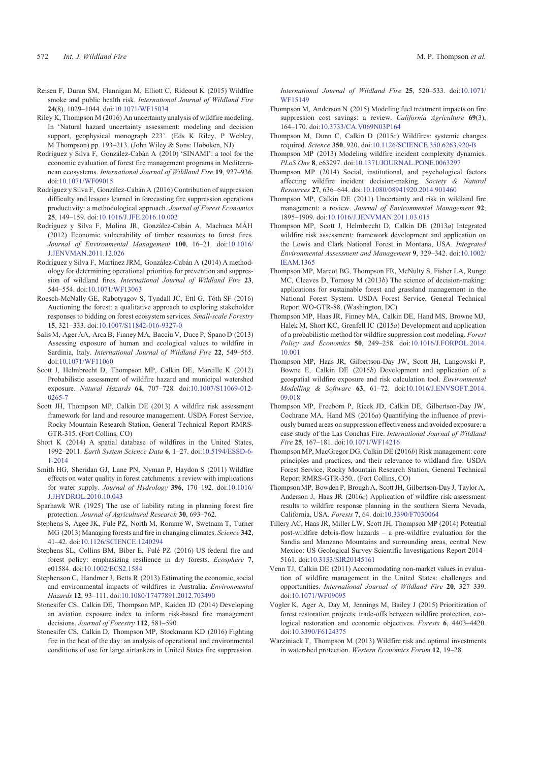- <span id="page-10-0"></span>Reisen F, Duran SM, Flannigan M, Elliott C, Rideout K (2015) Wildfire smoke and public health risk. *International Journal of Wildland Fire* **24**(8), 1029–1044. doi[:10.1071/WF15034](http://dx.doi.org/10.1071/WF15034)
- Riley K, Thompson M (2016) An uncertainty analysis of wildfire modeling. In 'Natural hazard uncertainty assessment: modeling and decision support, geophysical monograph 223'. (Eds K Riley, P Webley, M Thompson) pp. 193–213. (John Wiley & Sons: Hoboken, NJ)
- Rodríguez y Silva F, González-Cabán A (2010) 'SINAMI': a tool for the economic evaluation of forest fire management programs in Mediterranean ecosystems. *International Journal of Wildland Fire* **19**, 927–936. doi[:10.1071/WF09015](http://dx.doi.org/10.1071/WF09015)
- Rodríguez y Silva F, González-Cabán A (2016) Contribution of suppression difficulty and lessons learned in forecasting fire suppression operations productivity: a methodological approach. *Journal of Forest Economics* **25**, 149–159. doi[:10.1016/J.JFE.2016.10.002](http://dx.doi.org/10.1016/J.JFE.2016.10.002)
- Rodríguez y Silva F, Molina JR, González-Cabán A, Machuca MÁH (2012) Economic vulnerability of timber resources to forest fires. *Journal of Environmental Management* **100**, 16–21. doi:[10.1016/](http://dx.doi.org/10.1016/J.JENVMAN.2011.12.026) [J.JENVMAN.2011.12.026](http://dx.doi.org/10.1016/J.JENVMAN.2011.12.026)
- Rodríguez y Silva F, Martínez JRM, González-Cabán A (2014) A methodology for determining operational priorities for prevention and suppression of wildland fires. *International Journal of Wildland Fire* **23**, 544–554. doi[:10.1071/WF13063](http://dx.doi.org/10.1071/WF13063)
- Roesch-McNally GE, Rabotyagov S, Tyndall JC, Ettl G, Tóth SF (2016) Auctioning the forest: a qualitative approach to exploring stakeholder responses to bidding on forest ecosystem services. *Small-scale Forestry* **15**, 321–333. doi[:10.1007/S11842-016-9327-0](http://dx.doi.org/10.1007/S11842-016-9327-0)
- Salis M, Ager AA, Arca B, Finney MA, Bacciu V, Duce P, Spano D (2013) Assessing exposure of human and ecological values to wildfire in Sardinia, Italy. *International Journal of Wildland Fire* **22**, 549–565. doi[:10.1071/WF11060](http://dx.doi.org/10.1071/WF11060)
- Scott J, Helmbrecht D, Thompson MP, Calkin DE, Marcille K (2012) Probabilistic assessment of wildfire hazard and municipal watershed exposure. *Natural Hazards* **64**, 707–728. doi[:10.1007/S11069-012-](http://dx.doi.org/10.1007/S11069-012-0265-7) [0265-7](http://dx.doi.org/10.1007/S11069-012-0265-7)
- Scott JH, Thompson MP, Calkin DE (2013) A wildfire risk assessment framework for land and resource management. USDA Forest Service, Rocky Mountain Research Station, General Technical Report RMRS-GTR-315. (Fort Collins, CO)
- Short K (2014) A spatial database of wildfires in the United States, 1992–2011. *Earth System Science Data* **6**, 1–27. doi[:10.5194/ESSD-6-](http://dx.doi.org/10.5194/ESSD-6-1-2014) [1-2014](http://dx.doi.org/10.5194/ESSD-6-1-2014)
- Smith HG, Sheridan GJ, Lane PN, Nyman P, Haydon S (2011) Wildfire effects on water quality in forest catchments: a review with implications for water supply. *Journal of Hydrology* **396**, 170–192. doi:[10.1016/](http://dx.doi.org/10.1016/J.JHYDROL.2010.10.043) [J.JHYDROL.2010.10.043](http://dx.doi.org/10.1016/J.JHYDROL.2010.10.043)
- Sparhawk WR (1925) The use of liability rating in planning forest fire protection. *Journal of Agricultural Research* **30**, 693–762.
- Stephens S, Agee JK, Fule PZ, North M, Romme W, Swetnam T, Turner MG (2013) Managing forests and fire in changing climates. *Science* **342**, 41–42. doi[:10.1126/SCIENCE.1240294](http://dx.doi.org/10.1126/SCIENCE.1240294)
- Stephens SL, Collins BM, Biber E, Fulé PZ (2016) US federal fire and forest policy: emphasizing resilience in dry forests. *Ecosphere* **7**, e01584. doi:[10.1002/ECS2.1584](http://dx.doi.org/10.1002/ECS2.1584)
- Stephenson C, Handmer J, Betts R (2013) Estimating the economic, social and environmental impacts of wildfires in Australia. *Environmental Hazards* **12**, 93–111. doi[:10.1080/17477891.2012.703490](http://dx.doi.org/10.1080/17477891.2012.703490)
- Stonesifer CS, Calkin DE, Thompson MP, Kaiden JD (2014) Developing an aviation exposure index to inform risk-based fire management decisions. *Journal of Forestry* **112**, 581–590.
- Stonesifer CS, Calkin D, Thompson MP, Stockmann KD (2016) Fighting fire in the heat of the day: an analysis of operational and environmental conditions of use for large airtankers in United States fire suppression.

*International Journal of Wildland Fire* **25**, 520–533. doi:[10.1071/](http://dx.doi.org/10.1071/WF15149) [WF15149](http://dx.doi.org/10.1071/WF15149)

- Thompson M, Anderson N (2015) Modeling fuel treatment impacts on fire suppression cost savings: a review. *California Agriculture* **69**(3), 164–170. doi[:10.3733/CA.V069N03P164](http://dx.doi.org/10.3733/CA.V069N03P164)
- Thompson M, Dunn C, Calkin D (2015*c*) Wildfires: systemic changes required. *Science* **350**, 920. doi[:10.1126/SCIENCE.350.6263.920-B](http://dx.doi.org/10.1126/SCIENCE.350.6263.920-B)
- Thompson MP (2013) Modeling wildfire incident complexity dynamics. *PLoS One* **8**, e63297. doi[:10.1371/JOURNAL.PONE.0063297](http://dx.doi.org/10.1371/JOURNAL.PONE.0063297)
- Thompson MP (2014) Social, institutional, and psychological factors affecting wildfire incident decision-making. *Society & Natural Resources* **27**, 636–644. doi:[10.1080/08941920.2014.901460](http://dx.doi.org/10.1080/08941920.2014.901460)
- Thompson MP, Calkin DE (2011) Uncertainty and risk in wildland fire management: a review. *Journal of Environmental Management* **92**, 1895–1909. doi[:10.1016/J.JENVMAN.2011.03.015](http://dx.doi.org/10.1016/J.JENVMAN.2011.03.015)
- Thompson MP, Scott J, Helmbrecht D, Calkin DE (2013*a*) Integrated wildfire risk assessment: framework development and application on the Lewis and Clark National Forest in Montana, USA. *Integrated Environmental Assessment and Management* **9**, 329–342. doi:[10.1002/](http://dx.doi.org/10.1002/IEAM.1365) [IEAM.1365](http://dx.doi.org/10.1002/IEAM.1365)
- Thompson MP, Marcot BG, Thompson FR, McNulty S, Fisher LA, Runge MC, Cleaves D, Tomosy M (2013*b*) The science of decision-making: applications for sustainable forest and grassland management in the National Forest System. USDA Forest Service, General Technical Report WO-GTR-88. (Washington, DC)
- Thompson MP, Haas JR, Finney MA, Calkin DE, Hand MS, Browne MJ, Halek M, Short KC, Grenfell IC (2015*a*) Development and application of a probabilistic method for wildfire suppression cost modeling. *Forest Policy and Economics* **50**, 249–258. doi:[10.1016/J.FORPOL.2014.](http://dx.doi.org/10.1016/J.FORPOL.2014.10.001) [10.001](http://dx.doi.org/10.1016/J.FORPOL.2014.10.001)
- Thompson MP, Haas JR, Gilbertson-Day JW, Scott JH, Langowski P, Bowne E, Calkin DE (2015*b*) Development and application of a geospatial wildfire exposure and risk calculation tool. *Environmental Modelling & Software* **63**, 61–72. doi[:10.1016/J.ENVSOFT.2014.](http://dx.doi.org/10.1016/J.ENVSOFT.2014.09.018) [09.018](http://dx.doi.org/10.1016/J.ENVSOFT.2014.09.018)
- Thompson MP, Freeborn P, Rieck JD, Calkin DE, Gilbertson-Day JW, Cochrane MA, Hand MS (2016*a*) Quantifying the influence of previously burned areas on suppression effectiveness and avoided exposure: a case study of the Las Conchas Fire. *International Journal of Wildland Fire* **25**, 167–181. doi:[10.1071/WF14216](http://dx.doi.org/10.1071/WF14216)
- Thompson MP, MacGregor DG, Calkin DE (2016*b*) Risk management: core principles and practices, and their relevance to wildland fire. USDA Forest Service, Rocky Mountain Research Station, General Technical Report RMRS-GTR-350.. (Fort Collins, CO)
- ThompsonMP, Bowden P, Brough A, Scott JH, Gilbertson-Day J, Taylor A, Anderson J, Haas JR (2016*c*) Application of wildfire risk assessment results to wildfire response planning in the southern Sierra Nevada, California, USA. *Forests* **7**, 64. doi:[10.3390/F7030064](http://dx.doi.org/10.3390/F7030064)
- Tillery AC, Haas JR, Miller LW, Scott JH, Thompson MP (2014) Potential post-wildfire debris-flow hazards – a pre-wildfire evaluation for the Sandia and Manzano Mountains and surrounding areas, central New Mexico: US Geological Survey Scientific Investigations Report 2014– 5161. doi[:10.3133/SIR20145161](http://dx.doi.org/10.3133/SIR20145161)
- Venn TJ, Calkin DE (2011) Accommodating non-market values in evaluation of wildfire management in the United States: challenges and opportunities. *International Journal of Wildland Fire* **20**, 327–339. doi[:10.1071/WF09095](http://dx.doi.org/10.1071/WF09095)
- Vogler K, Ager A, Day M, Jennings M, Bailey J (2015) Prioritization of forest restoration projects: trade-offs between wildfire protection, ecological restoration and economic objectives. *Forests* **6**, 4403–4420. doi[:10.3390/F6124375](http://dx.doi.org/10.3390/F6124375)
- Warziniack T, Thompson M (2013) Wildfire risk and optimal investments in watershed protection. *Western Economics Forum* **12**, 19–28.